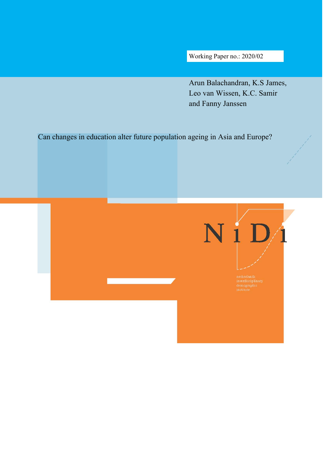Working Paper no.: 2020/02

Arun Balachandran, K.S James, Leo van Wissen, K.C. Samir and Fanny Janssen

Can changes in education alter future population ageing in Asia and Europe?

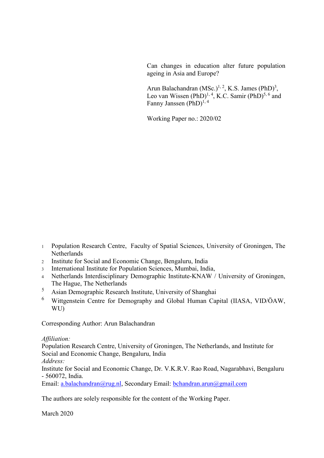Can changes in education alter future population ageing in Asia and Europe?

Arun Balachandran  $(MSc.)^{1, 2}$ , K.S. James  $(PhD)^3$ , Leo van Wissen  $(PhD)^{1, 4}$ , K.C. Samir  $(PhD)^{5, 6}$  and Fanny Janssen (PhD)<sup>1, 4</sup>

Working Paper no.: 2020/02

- 1 Population Research Centre, Faculty of Spatial Sciences, University of Groningen, The Netherlands
- 2 Institute for Social and Economic Change, Bengaluru, India
- 3 International Institute for Population Sciences, Mumbai, India,
- 4 Netherlands Interdisciplinary Demographic Institute-KNAW / University of Groningen, The Hague, The Netherlands
- 5 Asian Demographic Research Institute, University of Shanghai
- 6 Wittgenstein Centre for Demography and Global Human Capital (IIASA, VID/ÖAW, WU)

Corresponding Author: Arun Balachandran

## *Affiliation:*

Population Research Centre, University of Groningen, The Netherlands, and Institute for Social and Economic Change, Bengaluru, India

*Address:* 

Institute for Social and Economic Change, Dr. V.K.R.V. Rao Road, Nagarabhavi, Bengaluru - 560072, India.

Email: [a.balachandran@rug.nl,](mailto:a.balachandran@rug.nl) Secondary Email: [bchandran.arun@gmail.com](mailto:bchandran.arun@gmail.com)

The authors are solely responsible for the content of the Working Paper.

March 2020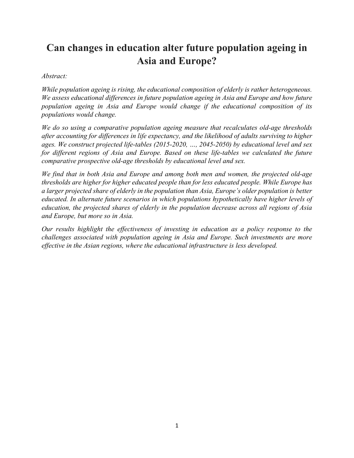# **Can changes in education alter future population ageing in Asia and Europe?**

### *Abstract:*

*While population ageing is rising, the educational composition of elderly is rather heterogeneous. We assess educational differences in future population ageing in Asia and Europe and how future population ageing in Asia and Europe would change if the educational composition of its populations would change.*

*We do so using a comparative population ageing measure that recalculates old-age thresholds after accounting for differences in life expectancy, and the likelihood of adults surviving to higher ages. We construct projected life-tables (2015-2020, …, 2045-2050) by educational level and sex for different regions of Asia and Europe. Based on these life-tables we calculated the future comparative prospective old-age thresholds by educational level and sex.*

*We find that in both Asia and Europe and among both men and women, the projected old-age thresholds are higher for higher educated people than for less educated people. While Europe has a larger projected share of elderly in the population than Asia, Europe's older population is better educated. In alternate future scenarios in which populations hypothetically have higher levels of education, the projected shares of elderly in the population decrease across all regions of Asia and Europe, but more so in Asia.* 

*Our results highlight the effectiveness of investing in education as a policy response to the challenges associated with population ageing in Asia and Europe. Such investments are more effective in the Asian regions, where the educational infrastructure is less developed.*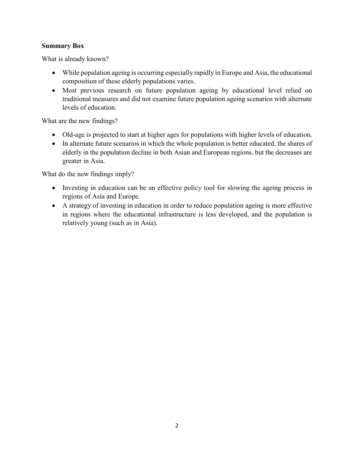# **Summary Box**

What is already known?

- While population ageing is occurring especially rapidly in Europe and Asia, the educational composition of these elderly populations varies.
- Most previous research on future population ageing by educational level relied on traditional measures and did not examine future population ageing scenarios with alternate levels of education.

What are the new findings?

- Old-age is projected to start at higher ages for populations with higher levels of education.
- In alternate future scenarios in which the whole population is better educated, the shares of elderly in the population decline in both Asian and European regions, but the decreases are greater in Asia.

What do the new findings imply?

- Investing in education can be an effective policy tool for slowing the ageing process in regions of Asia and Europe.
- A strategy of investing in education in order to reduce population ageing is more effective in regions where the educational infrastructure is less developed, and the population is relatively young (such as in Asia).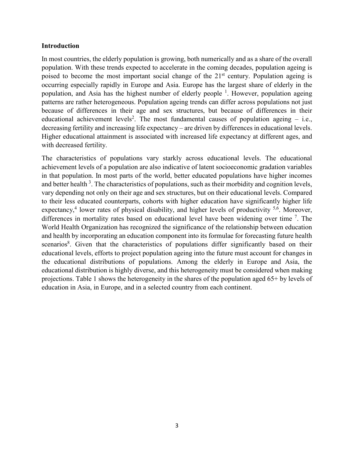#### **Introduction**

In most countries, the elderly population is growing, both numerically and as a share of the overall population. With these trends expected to accelerate in the coming decades, population ageing is poised to become the most important social change of the  $21<sup>st</sup>$  century. Population ageing is occurring especially rapidly in Europe and Asia. Europe has the largest share of elderly in the population, and Asia has the highest number of elderly people <sup>1</sup>. However, population ageing patterns are rather heterogeneous. Population ageing trends can differ across populations not just because of differences in their age and sex structures, but because of differences in their educational achievement levels<sup>2</sup>. The most fundamental causes of population ageing  $-$  i.e., decreasing fertility and increasing life expectancy – are driven by differences in educational levels. Higher educational attainment is associated with increased life expectancy at different ages, and with decreased fertility.

The characteristics of populations vary starkly across educational levels. The educational achievement levels of a population are also indicative of latent socioeconomic gradation variables in that population. In most parts of the world, better educated populations have higher incomes and better health  $3$ . The characteristics of populations, such as their morbidity and cognition levels, vary depending not only on their age and sex structures, but on their educational levels. Compared to their less educated counterparts, cohorts with higher education have significantly higher life expectancy,<sup>4</sup> lower rates of physical disability, and higher levels of productivity <sup>5,6</sup>. Moreover, differences in mortality rates based on educational level have been widening over time  $\frac{7}{1}$ . The World Health Organization has recognized the significance of the relationship between education and health by incorporating an education component into its formulae for forecasting future health scenarios<sup>8</sup>. Given that the characteristics of populations differ significantly based on their educational levels, efforts to project population ageing into the future must account for changes in the educational distributions of populations. Among the elderly in Europe and Asia, the educational distribution is highly diverse, and this heterogeneity must be considered when making projections. Table 1 shows the heterogeneity in the shares of the population aged 65+ by levels of education in Asia, in Europe, and in a selected country from each continent.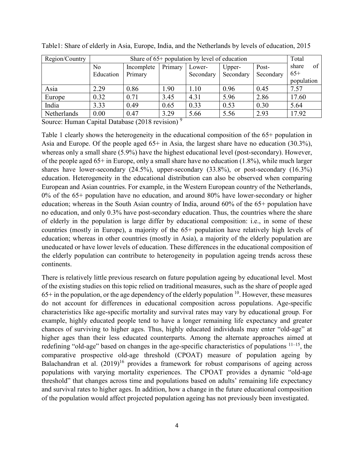| Region/Country |           | Total      |         |           |           |           |             |
|----------------|-----------|------------|---------|-----------|-----------|-----------|-------------|
|                | No        | Incomplete | Primary | Lower-    | Upper-    | Post-     | of<br>share |
|                | Education | Primary    |         | Secondary | Secondary | Secondary | $65+$       |
|                |           |            |         |           |           |           | population  |
| Asia           | 2.29      | 0.86       | 1.90    | 1.10      | 0.96      | 0.45      | 7.57        |
| Europe         | 0.32      | 0.71       | 3.45    | 4.31      | 5.96      | 2.86      | 17.60       |
| India          | 3.33      | 0.49       | 0.65    | 0.33      | 0.53      | 0.30      | 5.64        |
| Netherlands    | 0.00      | 0.47       | 3.29    | 5.66      | 5.56      | 2.93      | 17.92       |

Table1: Share of elderly in Asia, Europe, India, and the Netherlands by levels of education, 2015

Source: Human Capital Database (2018 revision) 9

Table 1 clearly shows the heterogeneity in the educational composition of the 65+ population in Asia and Europe. Of the people aged 65+ in Asia, the largest share have no education (30.3%), whereas only a small share (5.9%) have the highest educational level (post-secondary). However, of the people aged 65+ in Europe, only a small share have no education (1.8%), while much larger shares have lower-secondary (24.5%), upper-secondary (33.8%), or post-secondary (16.3%) education. Heterogeneity in the educational distribution can also be observed when comparing European and Asian countries. For example, in the Western European country of the Netherlands, 0% of the 65+ population have no education, and around 80% have lower-secondary or higher education; whereas in the South Asian country of India, around 60% of the 65+ population have no education, and only 0.3% have post-secondary education. Thus, the countries where the share of elderly in the population is large differ by educational composition: i.e., in some of these countries (mostly in Europe), a majority of the 65+ population have relatively high levels of education; whereas in other countries (mostly in Asia), a majority of the elderly population are uneducated or have lower levels of education. These differences in the educational composition of the elderly population can contribute to heterogeneity in population ageing trends across these continents.

There is relatively little previous research on future population ageing by educational level. Most of the existing studies on this topic relied on traditional measures, such as the share of people aged  $65+$  in the population, or the age dependency of the elderly population  $10$ . However, these measures do not account for differences in educational composition across populations. Age-specific characteristics like age-specific mortality and survival rates may vary by educational group. For example, highly educated people tend to have a longer remaining life expectancy and greater chances of surviving to higher ages. Thus, highly educated individuals may enter "old-age" at higher ages than their less educated counterparts. Among the alternate approaches aimed at redefining "old-age" based on changes in the age-specific characteristics of populations  $11-15$ , the comparative prospective old-age threshold (CPOAT) measure of population ageing by Balachandran et al.  $(2019)^{16}$  provides a framework for robust comparisons of ageing across populations with varying mortality experiences. The CPOAT provides a dynamic "old-age threshold" that changes across time and populations based on adults' remaining life expectancy and survival rates to higher ages. In addition, how a change in the future educational composition of the population would affect projected population ageing has not previously been investigated.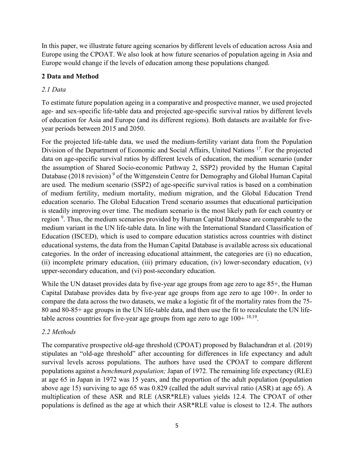In this paper, we illustrate future ageing scenarios by different levels of education across Asia and Europe using the CPOAT. We also look at how future scenarios of population ageing in Asia and Europe would change if the levels of education among these populations changed.

# **2 Data and Method**

# *2.1 Data*

To estimate future population ageing in a comparative and prospective manner, we used projected age- and sex-specific life-table data and projected age-specific survival ratios by different levels of education for Asia and Europe (and its different regions). Both datasets are available for fiveyear periods between 2015 and 2050.

For the projected life-table data, we used the medium-fertility variant data from the Population Division of the Department of Economic and Social Affairs, United Nations <sup>17</sup>. For the projected data on age-specific survival ratios by different levels of education, the medium scenario (under the assumption of Shared Socio-economic Pathway 2, SSP2) provided by the Human Capital Database (2018 revision)<sup>9</sup> of the Wittgenstein Centre for Demography and Global Human Capital are used. The medium scenario (SSP2) of age-specific survival ratios is based on a combination of medium fertility, medium mortality, medium migration, and the Global Education Trend education scenario. The Global Education Trend scenario assumes that educational participation is steadily improving over time. The medium scenario is the most likely path for each country or region <sup>9</sup>. Thus, the medium scenarios provided by Human Capital Database are comparable to the medium variant in the UN life-table data. In line with the International Standard Classification of Education (ISCED), which is used to compare education statistics across countries with distinct educational systems, the data from the Human Capital Database is available across six educational categories. In the order of increasing educational attainment, the categories are (i) no education, (ii) incomplete primary education, (iii) primary education, (iv) lower-secondary education, (v) upper-secondary education, and (vi) post-secondary education.

While the UN dataset provides data by five-year age groups from age zero to age 85<sup>+</sup>, the Human Capital Database provides data by five-year age groups from age zero to age 100+. In order to compare the data across the two datasets, we make a logistic fit of the mortality rates from the 75- 80 and 80-85+ age groups in the UN life-table data, and then use the fit to recalculate the UN lifetable across countries for five-year age groups from age zero to age  $100+^{18,19}$ .

# *2.2 Methods*

The comparative prospective old-age threshold (CPOAT) proposed by Balachandran et al. (2019) stipulates an "old-age threshold" after accounting for differences in life expectancy and adult survival levels across populations. The authors have used the CPOAT to compare different populations against a *benchmark population;* Japan of 1972. The remaining life expectancy (RLE) at age 65 in Japan in 1972 was 15 years, and the proportion of the adult population (population above age 15) surviving to age 65 was 0.829 (called the adult survival ratio (ASR) at age 65). A multiplication of these ASR and RLE (ASR\*RLE) values yields 12.4. The CPOAT of other populations is defined as the age at which their ASR\*RLE value is closest to 12.4. The authors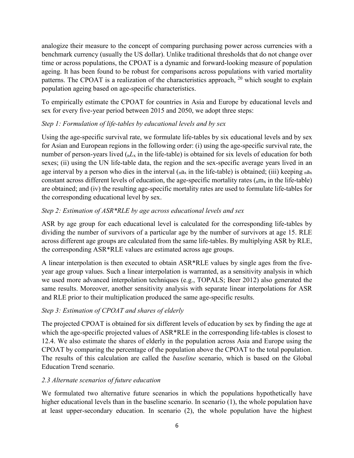analogize their measure to the concept of comparing purchasing power across currencies with a benchmark currency (usually the US dollar). Unlike traditional thresholds that do not change over time or across populations, the CPOAT is a dynamic and forward-looking measure of population ageing. It has been found to be robust for comparisons across populations with varied mortality patterns. The CPOAT is a realization of the characteristics approach, <sup>20</sup> which sought to explain population ageing based on age-specific characteristics.

To empirically estimate the CPOAT for countries in Asia and Europe by educational levels and sex for every five-year period between 2015 and 2050, we adopt three steps:

# *Step 1: Formulation of life-tables by educational levels and by sex*

Using the age-specific survival rate, we formulate life-tables by six educational levels and by sex for Asian and European regions in the following order: (i) using the age-specific survival rate, the number of person-years lived (n*L*x in the life-table) is obtained for six levels of education for both sexes; (ii) using the UN life-table data, the region and the sex-specific average years lived in an age interval by a person who dies in the interval  $(na_x)$  in the life-table) is obtained; (iii) keeping  $na_x$ constant across different levels of education, the age-specific mortality rates  $\binom{n}{n}$  in the life-table) are obtained; and (iv) the resulting age-specific mortality rates are used to formulate life-tables for the corresponding educational level by sex.

# *Step 2: Estimation of ASR\*RLE by age across educational levels and sex*

ASR by age group for each educational level is calculated for the corresponding life-tables by dividing the number of survivors of a particular age by the number of survivors at age 15. RLE across different age groups are calculated from the same life-tables. By multiplying ASR by RLE, the corresponding ASR\*RLE values are estimated across age groups.

A linear interpolation is then executed to obtain ASR\*RLE values by single ages from the fiveyear age group values. Such a linear interpolation is warranted, as a sensitivity analysis in which we used more advanced interpolation techniques (e.g., TOPALS; Beer 2012) also generated the same results. Moreover, another sensitivity analysis with separate linear interpolations for ASR and RLE prior to their multiplication produced the same age-specific results.

## *Step 3: Estimation of CPOAT and shares of elderly*

The projected CPOAT is obtained for six different levels of education by sex by finding the age at which the age-specific projected values of ASR\*RLE in the corresponding life-tables is closest to 12.4. We also estimate the shares of elderly in the population across Asia and Europe using the CPOAT by comparing the percentage of the population above the CPOAT to the total population. The results of this calculation are called the *baseline* scenario, which is based on the Global Education Trend scenario.

## *2.3 Alternate scenarios of future education*

We formulated two alternative future scenarios in which the populations hypothetically have higher educational levels than in the baseline scenario. In scenario (1), the whole population have at least upper-secondary education. In scenario (2), the whole population have the highest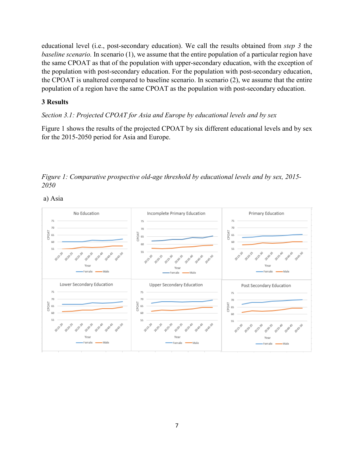educational level (i.e., post-secondary education). We call the results obtained from *step 3* the *baseline scenario.* In scenario (1), we assume that the entire population of a particular region have the same CPOAT as that of the population with upper-secondary education, with the exception of the population with post-secondary education. For the population with post-secondary education, the CPOAT is unaltered compared to baseline scenario. In scenario (2), we assume that the entire population of a region have the same CPOAT as the population with post-secondary education.

#### **3 Results**

*Section 3.1: Projected CPOAT for Asia and Europe by educational levels and by sex* 

Figure 1 shows the results of the projected CPOAT by six different educational levels and by sex for the 2015-2050 period for Asia and Europe.

*Figure 1: Comparative prospective old-age threshold by educational levels and by sex, 2015- 2050* 



a) Asia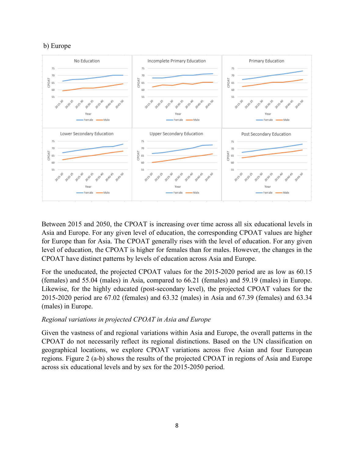



Between 2015 and 2050, the CPOAT is increasing over time across all six educational levels in Asia and Europe. For any given level of education, the corresponding CPOAT values are higher for Europe than for Asia. The CPOAT generally rises with the level of education. For any given level of education, the CPOAT is higher for females than for males. However, the changes in the CPOAT have distinct patterns by levels of education across Asia and Europe.

For the uneducated, the projected CPOAT values for the 2015-2020 period are as low as 60.15 (females) and 55.04 (males) in Asia, compared to 66.21 (females) and 59.19 (males) in Europe. Likewise, for the highly educated (post-secondary level), the projected CPOAT values for the 2015-2020 period are 67.02 (females) and 63.32 (males) in Asia and 67.39 (females) and 63.34 (males) in Europe.

#### *Regional variations in projected CPOAT in Asia and Europe*

Given the vastness of and regional variations within Asia and Europe, the overall patterns in the CPOAT do not necessarily reflect its regional distinctions. Based on the UN classification on geographical locations, we explore CPOAT variations across five Asian and four European regions. Figure 2 (a-b) shows the results of the projected CPOAT in regions of Asia and Europe across six educational levels and by sex for the 2015-2050 period.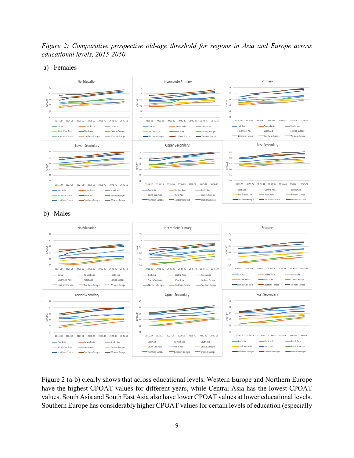*Figure 2: Comparative prospective old-age threshold for regions in Asia and Europe across educational levels, 2015-2050* 

#### a) Females



Figure 2 (a-b) clearly shows that across educational levels, Western Europe and Northern Europe have the highest CPOAT values for different years, while Central Asia has the lowest CPOAT values. South Asia and South East Asia also have lower CPOAT values at lower educational levels. Southern Europe has considerably higher CPOAT values for certain levels of education (especially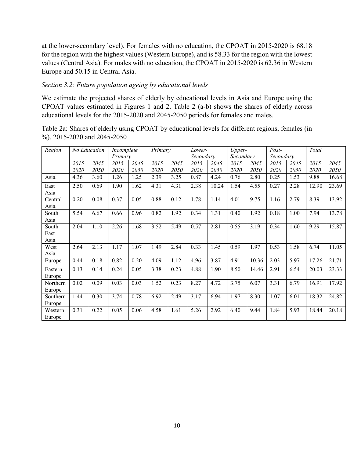at the lower-secondary level). For females with no education, the CPOAT in 2015-2020 is 68.18 for the region with the highest values (Western Europe), and is 58.33 for the region with the lowest values (Central Asia). For males with no education, the CPOAT in 2015-2020 is 62.36 in Western Europe and 50.15 in Central Asia.

## *Section 3.2: Future population ageing by educational levels*

We estimate the projected shares of elderly by educational levels in Asia and Europe using the CPOAT values estimated in Figures 1 and 2. Table 2 (a-b) shows the shares of elderly across educational levels for the 2015-2020 and 2045-2050 periods for females and males.

Table 2a: Shares of elderly using CPOAT by educational levels for different regions, females (in %), 2015-2020 and 2045-2050

| Region   | No Education |          | Incomplete |          | Primary  |       | Lower-    |          | Upper-    |          | $Post-$   |          | Total |             |
|----------|--------------|----------|------------|----------|----------|-------|-----------|----------|-----------|----------|-----------|----------|-------|-------------|
|          |              |          | Primary    |          |          |       | Secondary |          | Secondary |          | Secondary |          |       |             |
|          | $2015 -$     | $2045 -$ | $2015 -$   | $2045 -$ | $2015 -$ | 2045- | 2015-     | $2045 -$ | 2015-     | $2045 -$ | $2015 -$  | $2045 -$ | 2015- | $2045 -$    |
|          | 2020         | 2050     | 2020       | 2050     | 2020     | 2050  | 2020      | 2050     | 2020      | 2050     | 2020      | 2050     | 2020  | <i>2050</i> |
| Asia     | 4.36         | 3.60     | 1.26       | 1.25     | 2.39     | 3.25  | 0.87      | 4.24     | 0.76      | 2.80     | 0.25      | 1.53     | 9.88  | 16.68       |
| East     | 2.50         | 0.69     | 1.90       | 1.62     | 4.31     | 4.31  | 2.38      | 10.24    | 1.54      | 4.55     | 0.27      | 2.28     | 12.90 | 23.69       |
| Asia     |              |          |            |          |          |       |           |          |           |          |           |          |       |             |
| Central  | 0.20         | 0.08     | 0.37       | 0.05     | 0.88     | 0.12  | 1.78      | 1.14     | 4.01      | 9.75     | 1.16      | 2.79     | 8.39  | 13.92       |
| Asia     |              |          |            |          |          |       |           |          |           |          |           |          |       |             |
| South    | 5.54         | 6.67     | 0.66       | 0.96     | 0.82     | 1.92  | 0.34      | 1.31     | 0.40      | 1.92     | 0.18      | 1.00     | 7.94  | 13.78       |
| Asia     |              |          |            |          |          |       |           |          |           |          |           |          |       |             |
| South    | 2.04         | 1.10     | 2.26       | 1.68     | 3.52     | 5.49  | 0.57      | 2.81     | 0.55      | 3.19     | 0.34      | 1.60     | 9.29  | 15.87       |
| East     |              |          |            |          |          |       |           |          |           |          |           |          |       |             |
| Asia     |              |          |            |          |          |       |           |          |           |          |           |          |       |             |
| West     | 2.64         | 2.13     | 1.17       | 1.07     | 1.49     | 2.84  | 0.33      | 1.45     | 0.59      | 1.97     | 0.53      | 1.58     | 6.74  | 11.05       |
| Asia     |              |          |            |          |          |       |           |          |           |          |           |          |       |             |
| Europe   | 0.44         | 0.18     | 0.82       | 0.20     | 4.09     | 1.12  | 4.96      | 3.87     | 4.91      | 10.36    | 2.03      | 5.97     | 17.26 | 21.71       |
| Eastern  | 0.13         | 0.14     | 0.24       | 0.05     | 3.38     | 0.23  | 4.88      | 1.90     | 8.50      | 14.46    | 2.91      | 6.54     | 20.03 | 23.33       |
| Europe   |              |          |            |          |          |       |           |          |           |          |           |          |       |             |
| Northern | 0.02         | 0.09     | 0.03       | 0.03     | 1.52     | 0.23  | 8.27      | 4.72     | 3.75      | 6.07     | 3.31      | 6.79     | 16.91 | 17.92       |
| Europe   |              |          |            |          |          |       |           |          |           |          |           |          |       |             |
| Southern | 1.44         | 0.30     | 3.74       | 0.78     | 6.92     | 2.49  | 3.17      | 6.94     | 1.97      | 8.30     | 1.07      | 6.01     | 18.32 | 24.82       |
| Europe   |              |          |            |          |          |       |           |          |           |          |           |          |       |             |
| Western  | 0.31         | 0.22     | 0.05       | 0.06     | 4.58     | 1.61  | 5.26      | 2.92     | 6.40      | 9.44     | 1.84      | 5.93     | 18.44 | 20.18       |
| Europe   |              |          |            |          |          |       |           |          |           |          |           |          |       |             |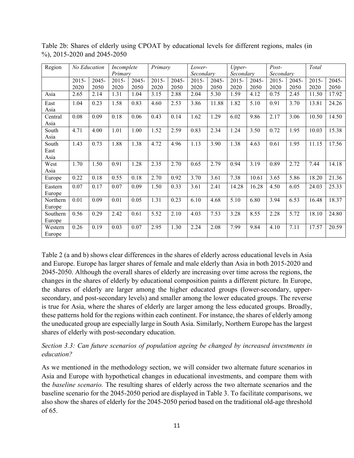| Region   | <b>No Education</b> |         | Incomplete |       | Primary  |       |           | Lower- |           | Upper- |           |          | Total |       |
|----------|---------------------|---------|------------|-------|----------|-------|-----------|--------|-----------|--------|-----------|----------|-------|-------|
|          |                     | Primary |            |       |          |       | Secondary |        | Secondary |        | Secondary |          |       |       |
|          | $2015 -$            | 2045-   | 2015-      | 2045- | $2015 -$ | 2045- | 2015-     | 2045-  | $2015 -$  | 2045-  | 2015-     | $2045 -$ | 2015- | 2045- |
|          | 2020                | 2050    | 2020       | 2050  | 2020     | 2050  | 2020      | 2050   | 2020      | 2050   | 2020      | 2050     | 2020  | 2050  |
| Asia     | 2.65                | 2.14    | 1.31       | 1.04  | 3.15     | 2.88  | 2.04      | 5.30   | 1.59      | 4.12   | 0.75      | 2.45     | 11.50 | 17.92 |
| East     | 1.04                | 0.23    | 1.58       | 0.83  | 4.60     | 2.53  | 3.86      | 11.88  | 1.82      | 5.10   | 0.91      | 3.70     | 13.81 | 24.26 |
| Asia     |                     |         |            |       |          |       |           |        |           |        |           |          |       |       |
| Central  | 0.08                | 0.09    | 0.18       | 0.06  | 0.43     | 0.14  | 1.62      | 1.29   | 6.02      | 9.86   | 2.17      | 3.06     | 10.50 | 14.50 |
| Asia     |                     |         |            |       |          |       |           |        |           |        |           |          |       |       |
| South    | 4.71                | 4.00    | 1.01       | 1.00  | 1.52     | 2.59  | 0.83      | 2.34   | 1.24      | 3.50   | 0.72      | 1.95     | 10.03 | 15.38 |
| Asia     |                     |         |            |       |          |       |           |        |           |        |           |          |       |       |
| South    | 1.43                | 0.73    | 1.88       | 1.38  | 4.72     | 4.96  | 1.13      | 3.90   | 1.38      | 4.63   | 0.61      | 1.95     | 11.15 | 17.56 |
| East     |                     |         |            |       |          |       |           |        |           |        |           |          |       |       |
| Asia     |                     |         |            |       |          |       |           |        |           |        |           |          |       |       |
| West     | 1.70                | 1.50    | 0.91       | 1.28  | 2.35     | 2.70  | 0.65      | 2.79   | 0.94      | 3.19   | 0.89      | 2.72     | 7.44  | 14.18 |
| Asia     |                     |         |            |       |          |       |           |        |           |        |           |          |       |       |
| Europe   | 0.22                | 0.18    | 0.55       | 0.18  | 2.70     | 0.92  | 3.70      | 3.61   | 7.38      | 10.61  | 3.65      | 5.86     | 18.20 | 21.36 |
| Eastern  | 0.07                | 0.17    | 0.07       | 0.09  | 1.50     | 0.33  | 3.61      | 2.41   | 14.28     | 16.28  | 4.50      | 6.05     | 24.03 | 25.33 |
| Europe   |                     |         |            |       |          |       |           |        |           |        |           |          |       |       |
| Northern | 0.01                | 0.09    | 0.01       | 0.05  | 1.31     | 0.23  | 6.10      | 4.68   | 5.10      | 6.80   | 3.94      | 6.53     | 16.48 | 18.37 |
| Europe   |                     |         |            |       |          |       |           |        |           |        |           |          |       |       |
| Southern | 0.56                | 0.29    | 2.42       | 0.61  | 5.52     | 2.10  | 4.03      | 7.53   | 3.28      | 8.55   | 2.28      | 5.72     | 18.10 | 24.80 |
| Europe   |                     |         |            |       |          |       |           |        |           |        |           |          |       |       |
| Western  | 0.26                | 0.19    | 0.03       | 0.07  | 2.95     | 1.30  | 2.24      | 2.08   | 7.99      | 9.84   | 4.10      | 7.11     | 17.57 | 20.59 |
| Europe   |                     |         |            |       |          |       |           |        |           |        |           |          |       |       |

Table 2b: Shares of elderly using CPOAT by educational levels for different regions, males (in %), 2015-2020 and 2045-2050

Table 2 (a and b) shows clear differences in the shares of elderly across educational levels in Asia and Europe. Europe has larger shares of female and male elderly than Asia in both 2015-2020 and 2045-2050. Although the overall shares of elderly are increasing over time across the regions, the changes in the shares of elderly by educational composition paints a different picture. In Europe, the shares of elderly are larger among the higher educated groups (lower-secondary, uppersecondary, and post-secondary levels) and smaller among the lower educated groups. The reverse is true for Asia, where the shares of elderly are larger among the less educated groups. Broadly, these patterns hold for the regions within each continent. For instance, the shares of elderly among the uneducated group are especially large in South Asia. Similarly, Northern Europe has the largest shares of elderly with post-secondary education.

# *Section 3.3: Can future scenarios of population ageing be changed by increased investments in education?*

As we mentioned in the methodology section, we will consider two alternate future scenarios in Asia and Europe with hypothetical changes in educational investments, and compare them with the *baseline scenario.* The resulting shares of elderly across the two alternate scenarios and the baseline scenario for the 2045-2050 period are displayed in Table 3. To facilitate comparisons, we also show the shares of elderly for the 2045-2050 period based on the traditional old-age threshold of 65.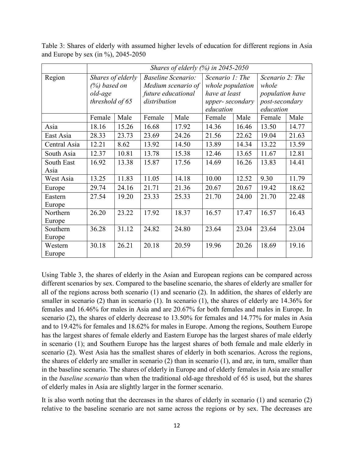|                    | Shares of elderly $(%)$ in 2045-2050                               |       |                                                                 |                    |                                                                                      |       |                                                                                          |       |  |  |
|--------------------|--------------------------------------------------------------------|-------|-----------------------------------------------------------------|--------------------|--------------------------------------------------------------------------------------|-------|------------------------------------------------------------------------------------------|-------|--|--|
| Region             | Shares of elderly<br>$(\%)$ based on<br>old-age<br>threshold of 65 |       | <b>Baseline Scenario:</b><br>future educational<br>distribution | Medium scenario of | Scenario 1: The<br>whole population<br>have at least<br>upper-secondary<br>education |       | Scenario 2: The<br>whole<br><i>population have</i><br><i>post-secondary</i><br>education |       |  |  |
|                    | Female                                                             | Male  | Female                                                          | Male               | Female                                                                               | Male  | Female                                                                                   | Male  |  |  |
| Asia               | 18.16                                                              | 15.26 | 16.68                                                           | 17.92              | 14.36                                                                                | 16.46 | 13.50                                                                                    | 14.77 |  |  |
| East Asia          | 28.33                                                              | 23.73 | 23.69                                                           | 24.26              | 21.56                                                                                | 22.62 | 19.04                                                                                    | 21.63 |  |  |
| Central Asia       | 12.21                                                              | 8.62  | 13.92                                                           | 14.50              | 13.89                                                                                | 14.34 | 13.22                                                                                    | 13.59 |  |  |
| South Asia         | 12.37                                                              | 10.81 | 13.78                                                           | 15.38              | 12.46                                                                                | 13.65 | 11.67                                                                                    | 12.81 |  |  |
| South East<br>Asia | 16.92                                                              | 13.38 | 15.87                                                           | 17.56              | 14.69                                                                                | 16.26 | 13.83                                                                                    | 14.41 |  |  |
| West Asia          | 13.25                                                              | 11.83 | 11.05                                                           | 14.18              | 10.00                                                                                | 12.52 | 9.30                                                                                     | 11.79 |  |  |
| Europe             | 29.74                                                              | 24.16 | 21.71                                                           | 21.36              | 20.67                                                                                | 20.67 | 19.42                                                                                    | 18.62 |  |  |
| Eastern<br>Europe  | 27.54                                                              | 19.20 | 23.33                                                           | 25.33              | 21.70                                                                                | 24.00 | 21.70                                                                                    | 22.48 |  |  |
| Northern<br>Europe | 26.20                                                              | 23.22 | 17.92                                                           | 18.37              | 16.57                                                                                | 17.47 | 16.57                                                                                    | 16.43 |  |  |
| Southern<br>Europe | 36.28                                                              | 31.12 | 24.82                                                           | 24.80              | 23.64                                                                                | 23.04 | 23.64                                                                                    | 23.04 |  |  |
| Western<br>Europe  | 30.18                                                              | 26.21 | 20.18                                                           | 20.59              | 19.96                                                                                | 20.26 | 18.69                                                                                    | 19.16 |  |  |

Table 3: Shares of elderly with assumed higher levels of education for different regions in Asia and Europe by sex (in %), 2045-2050

Using Table 3, the shares of elderly in the Asian and European regions can be compared across different scenarios by sex. Compared to the baseline scenario, the shares of elderly are smaller for all of the regions across both scenario (1) and scenario (2). In addition, the shares of elderly are smaller in scenario (2) than in scenario (1). In scenario (1), the shares of elderly are 14.36% for females and 16.46% for males in Asia and are 20.67% for both females and males in Europe. In scenario (2), the shares of elderly decrease to 13.50% for females and 14.77% for males in Asia and to 19.42% for females and 18.62% for males in Europe. Among the regions, Southern Europe has the largest shares of female elderly and Eastern Europe has the largest shares of male elderly in scenario (1); and Southern Europe has the largest shares of both female and male elderly in scenario (2). West Asia has the smallest shares of elderly in both scenarios. Across the regions, the shares of elderly are smaller in scenario (2) than in scenario (1), and are, in turn, smaller than in the baseline scenario. The shares of elderly in Europe and of elderly females in Asia are smaller in the *baseline scenario* than when the traditional old-age threshold of 65 is used, but the shares of elderly males in Asia are slightly larger in the former scenario.

It is also worth noting that the decreases in the shares of elderly in scenario (1) and scenario (2) relative to the baseline scenario are not same across the regions or by sex. The decreases are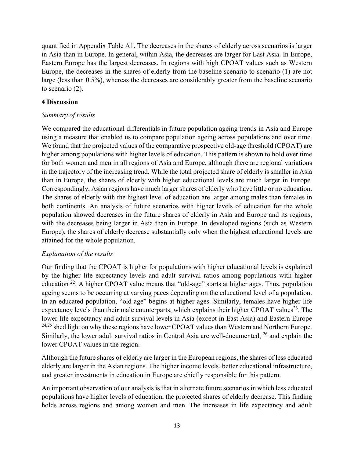quantified in Appendix Table A1. The decreases in the shares of elderly across scenarios is larger in Asia than in Europe. In general, within Asia, the decreases are larger for East Asia. In Europe, Eastern Europe has the largest decreases. In regions with high CPOAT values such as Western Europe, the decreases in the shares of elderly from the baseline scenario to scenario (1) are not large (less than 0.5%), whereas the decreases are considerably greater from the baseline scenario to scenario (2).

## **4 Discussion**

## *Summary of results*

We compared the educational differentials in future population ageing trends in Asia and Europe using a measure that enabled us to compare population ageing across populations and over time. We found that the projected values of the comparative prospective old-age threshold (CPOAT) are higher among populations with higher levels of education. This pattern is shown to hold over time for both women and men in all regions of Asia and Europe, although there are regional variations in the trajectory of the increasing trend. While the total projected share of elderly is smaller in Asia than in Europe, the shares of elderly with higher educational levels are much larger in Europe. Correspondingly, Asian regions have much larger shares of elderly who have little or no education. The shares of elderly with the highest level of education are larger among males than females in both continents. An analysis of future scenarios with higher levels of education for the whole population showed decreases in the future shares of elderly in Asia and Europe and its regions, with the decreases being larger in Asia than in Europe. In developed regions (such as Western Europe), the shares of elderly decrease substantially only when the highest educational levels are attained for the whole population.

## *Explanation of the results*

Our finding that the CPOAT is higher for populations with higher educational levels is explained by the higher life expectancy levels and adult survival ratios among populations with higher education 22. A higher CPOAT value means that "old-age" starts at higher ages. Thus, population ageing seems to be occurring at varying paces depending on the educational level of a population. In an educated population, "old-age" begins at higher ages. Similarly, females have higher life expectancy levels than their male counterparts, which explains their higher CPOAT values<sup>23</sup>. The lower life expectancy and adult survival levels in Asia (except in East Asia) and Eastern Europe <sup>24,25</sup> shed light on why these regions have lower CPOAT values than Western and Northern Europe. Similarly, the lower adult survival ratios in Central Asia are well-documented, 26 and explain the lower CPOAT values in the region.

Although the future shares of elderly are larger in the European regions, the shares of less educated elderly are larger in the Asian regions. The higher income levels, better educational infrastructure, and greater investments in education in Europe are chiefly responsible for this pattern.

An important observation of our analysis is that in alternate future scenarios in which less educated populations have higher levels of education, the projected shares of elderly decrease. This finding holds across regions and among women and men. The increases in life expectancy and adult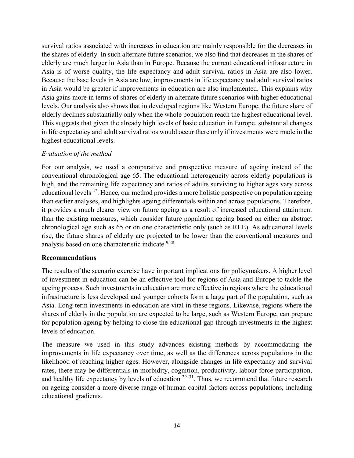survival ratios associated with increases in education are mainly responsible for the decreases in the shares of elderly. In such alternate future scenarios, we also find that decreases in the shares of elderly are much larger in Asia than in Europe. Because the current educational infrastructure in Asia is of worse quality, the life expectancy and adult survival ratios in Asia are also lower. Because the base levels in Asia are low, improvements in life expectancy and adult survival ratios in Asia would be greater if improvements in education are also implemented. This explains why Asia gains more in terms of shares of elderly in alternate future scenarios with higher educational levels. Our analysis also shows that in developed regions like Western Europe, the future share of elderly declines substantially only when the whole population reach the highest educational level. This suggests that given the already high levels of basic education in Europe, substantial changes in life expectancy and adult survival ratios would occur there only if investments were made in the highest educational levels.

#### *Evaluation of the method*

For our analysis, we used a comparative and prospective measure of ageing instead of the conventional chronological age 65. The educational heterogeneity across elderly populations is high, and the remaining life expectancy and ratios of adults surviving to higher ages vary across educational levels  $^{27}$ . Hence, our method provides a more holistic perspective on population ageing than earlier analyses, and highlights ageing differentials within and across populations. Therefore, it provides a much clearer view on future ageing as a result of increased educational attainment than the existing measures, which consider future population ageing based on either an abstract chronological age such as 65 or on one characteristic only (such as RLE). As educational levels rise, the future shares of elderly are projected to be lower than the conventional measures and analysis based on one characteristic indicate 9,28.

#### **Recommendations**

The results of the scenario exercise have important implications for policymakers. A higher level of investment in education can be an effective tool for regions of Asia and Europe to tackle the ageing process. Such investments in education are more effective in regions where the educational infrastructure is less developed and younger cohorts form a large part of the population, such as Asia. Long-term investments in education are vital in these regions. Likewise, regions where the shares of elderly in the population are expected to be large, such as Western Europe, can prepare for population ageing by helping to close the educational gap through investments in the highest levels of education.

The measure we used in this study advances existing methods by accommodating the improvements in life expectancy over time, as well as the differences across populations in the likelihood of reaching higher ages. However, alongside changes in life expectancy and survival rates, there may be differentials in morbidity, cognition, productivity, labour force participation, and healthy life expectancy by levels of education  $29-31$ . Thus, we recommend that future research on ageing consider a more diverse range of human capital factors across populations, including educational gradients.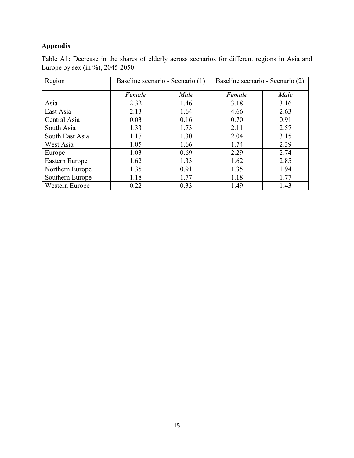# **Appendix**

Table A1: Decrease in the shares of elderly across scenarios for different regions in Asia and Europe by sex (in %), 2045-2050

| Region          |        | Baseline scenario - Scenario (1) | Baseline scenario - Scenario (2) |      |  |  |
|-----------------|--------|----------------------------------|----------------------------------|------|--|--|
|                 | Female | Male                             | Female                           | Male |  |  |
| Asia            | 2.32   | 1.46                             | 3.18                             | 3.16 |  |  |
| East Asia       | 2.13   | 1.64                             | 4.66                             | 2.63 |  |  |
| Central Asia    | 0.03   | 0.16                             | 0.70                             | 0.91 |  |  |
| South Asia      | 1.33   | 1.73                             | 2.11                             | 2.57 |  |  |
| South East Asia | 1.17   | 1.30                             | 2.04                             | 3.15 |  |  |
| West Asia       | 1.05   | 1.66                             | 1.74                             | 2.39 |  |  |
| Europe          | 1.03   | 0.69                             | 2.29                             | 2.74 |  |  |
| Eastern Europe  | 1.62   | 1.33                             | 1.62                             | 2.85 |  |  |
| Northern Europe | 1.35   | 0.91                             | 1.35                             | 1.94 |  |  |
| Southern Europe | 1.18   | 1.77                             | 1.18                             | 1.77 |  |  |
| Western Europe  | 0.22   | 0.33                             | 1.49                             | 1.43 |  |  |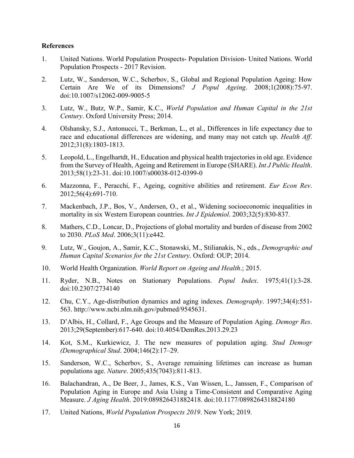#### **References**

- 1. United Nations. World Population Prospects- Population Division- United Nations. World Population Prospects - 2017 Revision.
- 2. Lutz, W., Sanderson, W.C., Scherbov, S., Global and Regional Population Ageing: How Certain Are We of its Dimensions? *J Popul Ageing*. 2008;1(2008):75-97. doi:10.1007/s12062-009-9005-5
- 3. Lutz, W., Butz, W.P., Samir, K.C., *World Population and Human Capital in the 21st Century*. Oxford University Press; 2014.
- 4. Olshansky, S.J., Antonucci, T., Berkman, L., et al., Differences in life expectancy due to race and educational differences are widening, and many may not catch up. *Health Aff*. 2012;31(8):1803-1813.
- 5. Leopold, L., Engelhartdt, H., Education and physical health trajectories in old age. Evidence from the Survey of Health, Ageing and Retirement in Europe (SHARE). *Int J Public Health*. 2013;58(1):23-31. doi:10.1007/s00038-012-0399-0
- 6. Mazzonna, F., Peracchi, F., Ageing, cognitive abilities and retirement. *Eur Econ Rev*. 2012;56(4):691-710.
- 7. Mackenbach, J.P., Bos, V., Andersen, O., et al., Widening socioeconomic inequalities in mortality in six Western European countries. *Int J Epidemiol*. 2003;32(5):830-837.
- 8. Mathers, C.D., Loncar, D., Projections of global mortality and burden of disease from 2002 to 2030. *PLoS Med*. 2006;3(11):e442.
- 9. Lutz, W., Goujon, A., Samir, K.C., Stonawski, M., Stilianakis, N., eds., *Demographic and Human Capital Scenarios for the 21st Century*. Oxford: OUP; 2014.
- 10. World Health Organization. *World Report on Ageing and Health*.; 2015.
- 11. Ryder, N.B., Notes on Stationary Populations. *Popul Index*. 1975;41(1):3-28. doi:10.2307/2734140
- 12. Chu, C.Y., Age-distribution dynamics and aging indexes. *Demography*. 1997;34(4):551- 563. http://www.ncbi.nlm.nih.gov/pubmed/9545631.
- 13. D'Albis, H., Collard, F., Age Groups and the Measure of Population Aging. *Demogr Res*. 2013;29(September):617-640. doi:10.4054/DemRes.2013.29.23
- 14. Kot, S.M., Kurkiewicz, J. The new measures of population aging. *Stud Demogr (Demographical Stud*. 2004;146(2):17–29.
- 15. Sanderson, W.C., Scherbov, S., Average remaining lifetimes can increase as human populations age. *Nature*. 2005;435(7043):811-813.
- 16. Balachandran, A., De Beer, J., James, K.S., Van Wissen, L., Janssen, F., Comparison of Population Aging in Europe and Asia Using a Time-Consistent and Comparative Aging Measure. *J Aging Health*. 2019:089826431882418. doi:10.1177/0898264318824180
- 17. United Nations, *World Population Prospects 2019*. New York; 2019.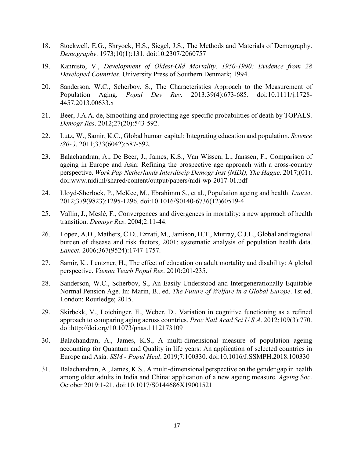- 18. Stockwell, E.G., Shryock, H.S., Siegel, J.S., The Methods and Materials of Demography. *Demography*. 1973;10(1):131. doi:10.2307/2060757
- 19. Kannisto, V., *Development of Oldest-Old Mortality, 1950-1990: Evidence from 28 Developed Countries*. University Press of Southern Denmark; 1994.
- 20. Sanderson, W.C., Scherbov, S., The Characteristics Approach to the Measurement of Population Aging. *Popul Dev Rev*. 2013;39(4):673-685. doi:10.1111/j.1728- 4457.2013.00633.x
- 21. Beer, J.A.A. de, Smoothing and projecting age-specific probabilities of death by TOPALS. *Demogr Res*. 2012;27(20):543-592.
- 22. Lutz, W., Samir, K.C., Global human capital: Integrating education and population. *Science (80- )*. 2011;333(6042):587-592.
- 23. Balachandran, A., De Beer, J., James, K.S., Van Wissen, L., Janssen, F., Comparison of ageing in Europe and Asia: Refining the prospective age approach with a cross-country perspective. *Work Pap Netherlands Interdiscip Demogr Inst (NIDI), The Hague*. 2017;(01). doi:www.nidi.nl/shared/content/output/papers/nidi-wp-2017-01.pdf
- 24. Lloyd-Sherlock, P., McKee, M., Ebrahimm S., et al., Population ageing and health. *Lancet*. 2012;379(9823):1295-1296. doi:10.1016/S0140-6736(12)60519-4
- 25. Vallin, J., Meslé, F., Convergences and divergences in mortality: a new approach of health transition. *Demogr Res*. 2004;2:11-44.
- 26. Lopez, A.D., Mathers, C.D., Ezzati, M., Jamison, D.T., Murray, C.J.L., Global and regional burden of disease and risk factors, 2001: systematic analysis of population health data. *Lancet*. 2006;367(9524):1747-1757.
- 27. Samir, K., Lentzner, H., The effect of education on adult mortality and disability: A global perspective. *Vienna Yearb Popul Res*. 2010:201-235.
- 28. Sanderson, W.C., Scherbov, S., An Easily Understood and Intergenerationally Equitable Normal Pension Age. In: Marin, B., ed. *The Future of Welfare in a Global Europe*. 1st ed. London: Routledge; 2015.
- 29. Skirbekk, V., Loichinger, E., Weber, D., Variation in cognitive functioning as a refined approach to comparing aging across countries. *Proc Natl Acad Sci U S A*. 2012;109(3):770. doi:http://doi.org/10.1073/pnas.1112173109
- 30. Balachandran, A., James, K.S., A multi-dimensional measure of population ageing accounting for Quantum and Quality in life years: An application of selected countries in Europe and Asia. *SSM - Popul Heal*. 2019;7:100330. doi:10.1016/J.SSMPH.2018.100330
- 31. Balachandran, A., James, K.S., A multi-dimensional perspective on the gender gap in health among older adults in India and China: application of a new ageing measure. *Ageing Soc*. October 2019:1-21. doi:10.1017/S0144686X19001521